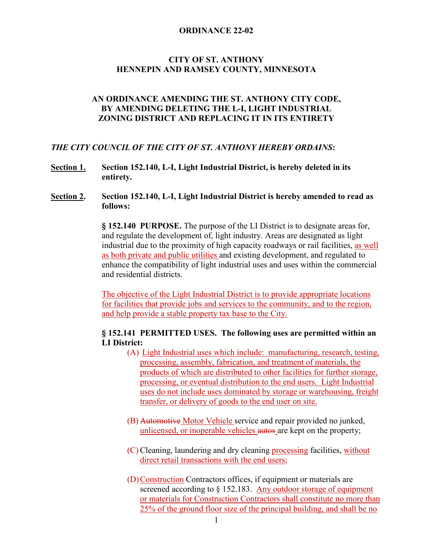## **CITY OF ST. ANTHONY HENNEPIN AND RAMSEY COUNTY, MINNESOTA**

## **AN ORDINANCE AMENDING THE ST. ANTHONY CITY CODE, BY AMENDING DELETING THE L-I, LIGHT INDUSTRIAL ZONING DISTRICT AND REPLACING IT IN ITS ENTIRETY**

#### *THE CITY COUNCIL OF THE CITY OF ST. ANTHONY HEREBY ORDAINS***:**

- **Section 1. Section 152.140, L-I, Light Industrial District, is hereby deleted in its entirety.**
- **Section 2. Section 152.140, L-I, Light Industrial District is hereby amended to read as follows:**

**§ 152.140 PURPOSE.** The purpose of the LI District is to designate areas for, and regulate the development of, light industry. Areas are designated as light industrial due to the proximity of high capacity roadways or rail facilities, as well as both private and public utilities and existing development, and regulated to enhance the compatibility of light industrial uses and uses within the commercial and residential districts.

The objective of the Light Industrial District is to provide appropriate locations for facilities that provide jobs and services to the community, and to the region, and help provide a stable property tax base to the City.

## **§ 152.141 PERMITTED USES. The following uses are permitted within an LI District:**

- (A) Light Industrial uses which include: manufacturing, research, testing, processing, assembly, fabrication, and treatment of materials, the products of which are distributed to other facilities for further storage, processing, or eventual distribution to the end users. Light Industrial uses do not include uses dominated by storage or warehousing, freight transfer, or delivery of goods to the end user on site.
- (B) Automotive Motor Vehicle service and repair provided no junked, unlicensed, or inoperable vehicles autos are kept on the property;
- (C) Cleaning, laundering and dry cleaning processing facilities, without direct retail transactions with the end users;
- (D)Construction Contractors offices, if equipment or materials are screened according to  $\S$  152.183. Any outdoor storage of equipment or materials for Construction Contractors shall constitute no more than 25% of the ground floor size of the principal building, and shall be no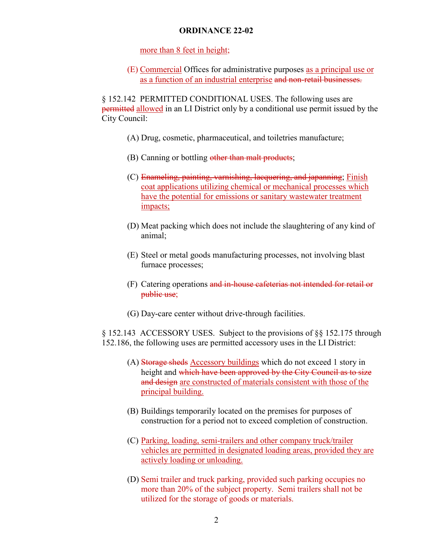more than 8 feet in height;

(E) Commercial Offices for administrative purposes as a principal use or as a function of an industrial enterprise and non-retail businesses.

§ 152.142 PERMITTED CONDITIONAL USES. The following uses are **permitted allowed** in an LI District only by a conditional use permit issued by the City Council:

- (A) Drug, cosmetic, pharmaceutical, and toiletries manufacture;
- (B) Canning or bottling other than malt products;
- (C) Enameling, painting, varnishing, lacquering, and japanning; Finish coat applications utilizing chemical or mechanical processes which have the potential for emissions or sanitary wastewater treatment impacts;
- (D) Meat packing which does not include the slaughtering of any kind of animal;
- (E) Steel or metal goods manufacturing processes, not involving blast furnace processes;
- (F) Catering operations and in-house cafeterias not intended for retail or public use;
- (G) Day-care center without drive-through facilities.

§ 152.143 ACCESSORY USES. Subject to the provisions of §§ 152.175 through 152.186, the following uses are permitted accessory uses in the LI District:

- (A) Storage sheds Accessory buildings which do not exceed 1 story in height and which have been approved by the City Council as to size and design are constructed of materials consistent with those of the principal building.
- (B) Buildings temporarily located on the premises for purposes of construction for a period not to exceed completion of construction.
- (C) Parking, loading, semi-trailers and other company truck/trailer vehicles are permitted in designated loading areas, provided they are actively loading or unloading.
- (D) Semi trailer and truck parking, provided such parking occupies no more than 20% of the subject property. Semi trailers shall not be utilized for the storage of goods or materials.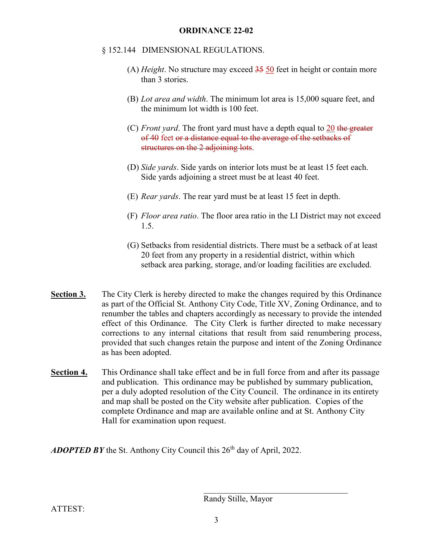## § 152.144 DIMENSIONAL REGULATIONS.

- (A) *Height*. No structure may exceed 35 50 feet in height or contain more than 3 stories.
- (B) *Lot area and width*. The minimum lot area is 15,000 square feet, and the minimum lot width is 100 feet.
- (C) *Front yard*. The front yard must have a depth equal to 20 the greater of 40 feet or a distance equal to the average of the setbacks of structures on the 2 adjoining lots.
- (D) *Side yards*. Side yards on interior lots must be at least 15 feet each. Side yards adjoining a street must be at least 40 feet.
- (E) *Rear yards*. The rear yard must be at least 15 feet in depth.
- (F) *Floor area ratio*. The floor area ratio in the LI District may not exceed 1.5.
- (G) Setbacks from residential districts. There must be a setback of at least 20 feet from any property in a residential district, within which setback area parking, storage, and/or loading facilities are excluded.
- **Section 3.** The City Clerk is hereby directed to make the changes required by this Ordinance as part of the Official St. Anthony City Code, Title XV, Zoning Ordinance, and to renumber the tables and chapters accordingly as necessary to provide the intended effect of this Ordinance. The City Clerk is further directed to make necessary corrections to any internal citations that result from said renumbering process, provided that such changes retain the purpose and intent of the Zoning Ordinance as has been adopted.
- **Section 4.** This Ordinance shall take effect and be in full force from and after its passage and publication. This ordinance may be published by summary publication, per a duly adopted resolution of the City Council. The ordinance in its entirety and map shall be posted on the City website after publication. Copies of the complete Ordinance and map are available online and at St. Anthony City Hall for examination upon request.

ADOPTED BY the St. Anthony City Council this 26<sup>th</sup> day of April, 2022.

Randy Stille, Mayor

ATTEST: